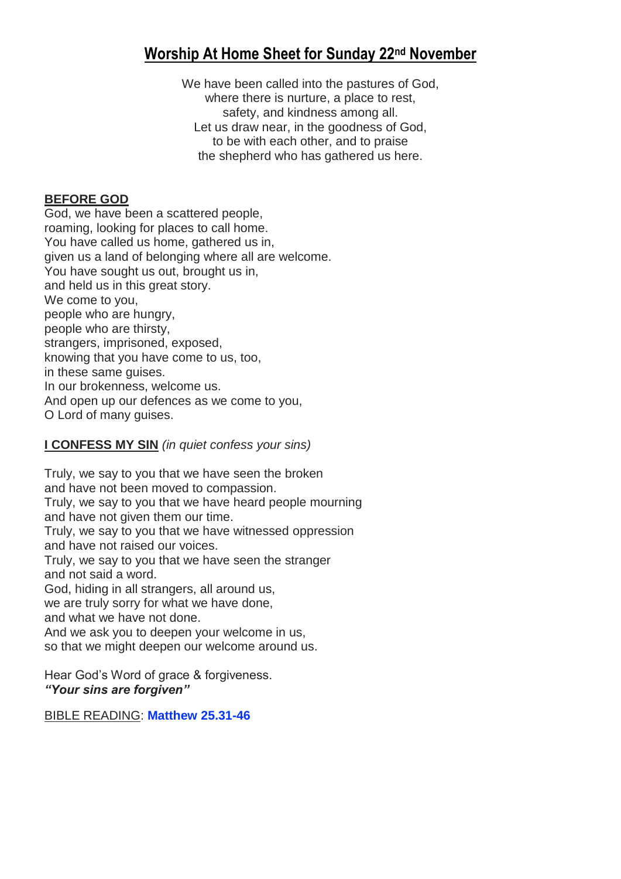# **Worship At Home Sheet for Sunday 22nd November**

We have been called into the pastures of God, where there is nurture, a place to rest, safety, and kindness among all. Let us draw near, in the goodness of God, to be with each other, and to praise the shepherd who has gathered us here.

### **BEFORE GOD**

God, we have been a scattered people, roaming, looking for places to call home. You have called us home, gathered us in, given us a land of belonging where all are welcome. You have sought us out, brought us in, and held us in this great story. We come to you, people who are hungry, people who are thirsty, strangers, imprisoned, exposed, knowing that you have come to us, too, in these same guises. In our brokenness, welcome us. And open up our defences as we come to you, O Lord of many guises.

# **I CONFESS MY SIN** *(in quiet confess your sins)*

Truly, we say to you that we have seen the broken and have not been moved to compassion. Truly, we say to you that we have heard people mourning and have not given them our time. Truly, we say to you that we have witnessed oppression and have not raised our voices. Truly, we say to you that we have seen the stranger and not said a word. God, hiding in all strangers, all around us, we are truly sorry for what we have done, and what we have not done. And we ask you to deepen your welcome in us, so that we might deepen our welcome around us.

Hear God's Word of grace & forgiveness. *"Your sins are forgiven"*

BIBLE READING: **[Matthew 25.31-46](https://www.biblegateway.com/passage/?search=Matthew+25%3A31-46&version=NIVUK)**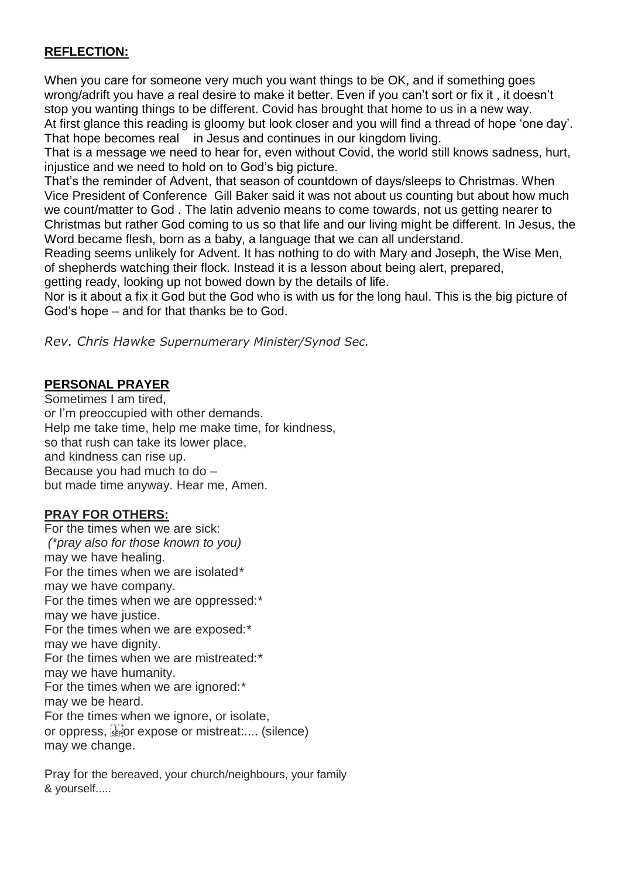# **REFLECTION:**

When you care for someone very much you want things to be OK, and if something goes wrong/adrift you have a real desire to make it better. Even if you can't sort or fix it , it doesn't stop you wanting things to be different. Covid has brought that home to us in a new way. At first glance this reading is gloomy but look closer and you will find a thread of hope 'one day'. That hope becomes real in Jesus and continues in our kingdom living.

That is a message we need to hear for, even without Covid, the world still knows sadness, hurt, injustice and we need to hold on to God's big picture.

That's the reminder of Advent, that season of countdown of days/sleeps to Christmas. When Vice President of Conference Gill Baker said it was not about us counting but about how much we count/matter to God . The latin advenio means to come towards, not us getting nearer to Christmas but rather God coming to us so that life and our living might be different. In Jesus, the Word became flesh, born as a baby, a language that we can all understand.

Reading seems unlikely for Advent. It has nothing to do with Mary and Joseph, the Wise Men, of shepherds watching their flock. Instead it is a lesson about being alert, prepared, getting ready, looking up not bowed down by the details of life.

Nor is it about a fix it God but the God who is with us for the long haul. This is the big picture of God's hope – and for that thanks be to God.

*Rev. Chris Hawke Supernumerary Minister/Synod Sec.* 

# **PERSONAL PRAYER**

Sometimes I am tired, or I'm preoccupied with other demands. Help me take time, help me make time, for kindness, so that rush can take its lower place, and kindness can rise up. Because you had much to do – but made time anyway. Hear me, Amen.

# **PRAY FOR OTHERS:**

For the times when we are sick: *(\*pray also for those known to you)* may we have healing. For the times when we are isolated*\** may we have company. For the times when we are oppressed:*\** may we have justice. For the times when we are exposed:*\** may we have dignity. For the times when we are mistreated:*\** may we have humanity. For the times when we are ignored:*\** may we be heard. For the times when we ignore, or isolate, or oppress, or expose or mistreat:.... (silence) may we change.

Pray for the bereaved, your church/neighbours, your family & yourself.....